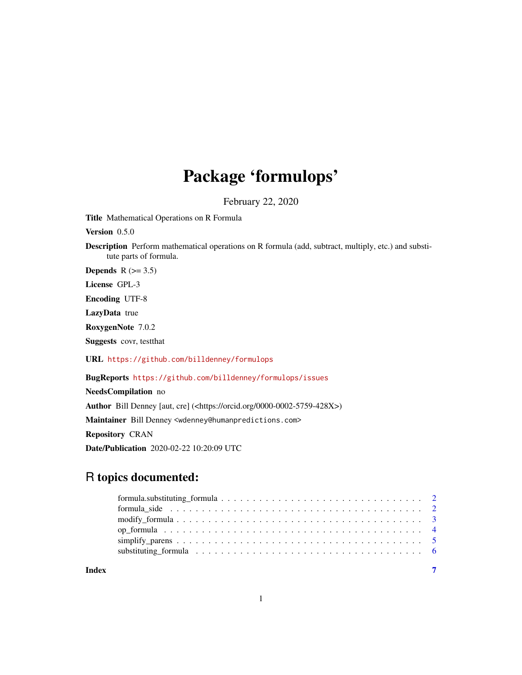## Package 'formulops'

February 22, 2020

Title Mathematical Operations on R Formula

Version 0.5.0

Description Perform mathematical operations on R formula (add, subtract, multiply, etc.) and substitute parts of formula.

Depends  $R$  ( $>= 3.5$ )

License GPL-3

Encoding UTF-8

LazyData true

RoxygenNote 7.0.2

Suggests covr, testthat

URL <https://github.com/billdenney/formulops>

BugReports <https://github.com/billdenney/formulops/issues>

NeedsCompilation no Author Bill Denney [aut, cre] (<https://orcid.org/0000-0002-5759-428X>) Maintainer Bill Denney <wdenney@humanpredictions.com> Repository CRAN Date/Publication 2020-02-22 10:20:09 UTC

### R topics documented:

| Index | $\overline{7}$ |
|-------|----------------|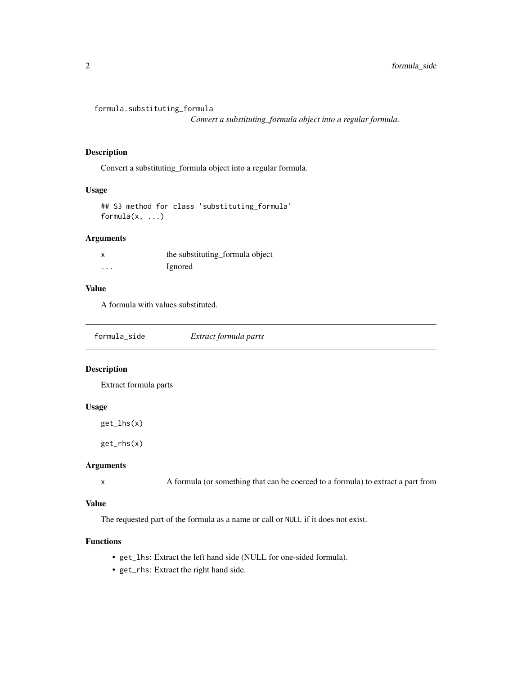```
formula.substituting_formula
```
*Convert a substituting\_formula object into a regular formula.*

#### Description

Convert a substituting\_formula object into a regular formula.

#### Usage

```
## S3 method for class 'substituting_formula'
formula(x, \ldots)
```
#### Arguments

|          | the substituting_formula object |
|----------|---------------------------------|
| $\cdots$ | Ignored                         |

#### Value

A formula with values substituted.

| formula_side | Extract formula parts |
|--------------|-----------------------|
|              |                       |

#### Description

Extract formula parts

#### Usage

get\_lhs(x)

get\_rhs(x)

#### Arguments

```
x A formula (or something that can be coerced to a formula) to extract a part from
```
#### Value

The requested part of the formula as a name or call or NULL if it does not exist.

#### Functions

- get\_lhs: Extract the left hand side (NULL for one-sided formula).
- get\_rhs: Extract the right hand side.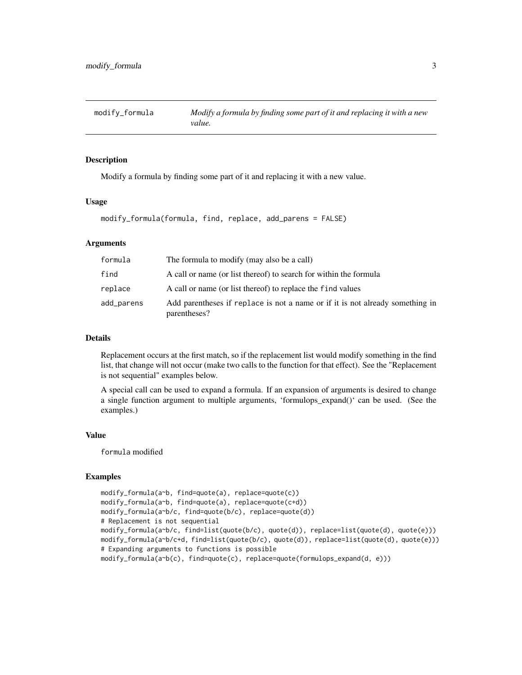<span id="page-2-0"></span>

#### **Description**

Modify a formula by finding some part of it and replacing it with a new value.

#### Usage

```
modify_formula(formula, find, replace, add_parens = FALSE)
```
#### Arguments

| formula    | The formula to modify (may also be a call)                                                    |
|------------|-----------------------------------------------------------------------------------------------|
| find       | A call or name (or list thereof) to search for within the formula                             |
| replace    | A call or name (or list thereof) to replace the find values                                   |
| add_parens | Add parentheses if replace is not a name or if it is not already something in<br>parentheses? |

#### Details

Replacement occurs at the first match, so if the replacement list would modify something in the find list, that change will not occur (make two calls to the function for that effect). See the "Replacement is not sequential" examples below.

A special call can be used to expand a formula. If an expansion of arguments is desired to change a single function argument to multiple arguments, 'formulops\_expand()' can be used. (See the examples.)

#### Value

formula modified

#### Examples

```
modify_formula(a~b, find=quote(a), replace=quote(c))
modify_formula(a~b, find=quote(a), replace=quote(c+d))
modify_formula(a~b/c, find=quote(b/c), replace=quote(d))
# Replacement is not sequential
modify_formula(a~b/c, find=list(quote(b/c), quote(d)), replace=list(quote(d), quote(e)))
modify_formula(a~b/c+d, find=list(quote(b/c), quote(d)), replace=list(quote(d), quote(e)))
# Expanding arguments to functions is possible
modify_formula(a~b(c), find=quote(c), replace=quote(formulops_expand(d, e)))
```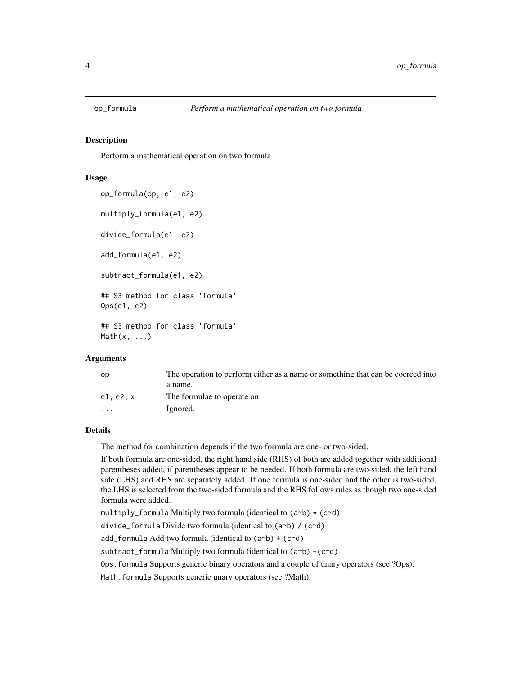<span id="page-3-0"></span>

#### **Description**

Perform a mathematical operation on two formula

#### Usage

```
op_formula(op, e1, e2)
multiply_formula(e1, e2)
divide_formula(e1, e2)
add_formula(e1, e2)
subtract_formula(e1, e2)
## S3 method for class 'formula'
Ops(e1, e2)
## S3 method for class 'formula'
```
 $Math(x, \ldots)$ 

#### Arguments

| op                                      | The operation to perform either as a name or something that can be coerced into |
|-----------------------------------------|---------------------------------------------------------------------------------|
| a name.                                 |                                                                                 |
| The formulae to operate on<br>e1. e2. x |                                                                                 |
| Ignored.<br>$\cdot$                     |                                                                                 |

#### Details

The method for combination depends if the two formula are one- or two-sided.

If both formula are one-sided, the right hand side (RHS) of both are added together with additional parentheses added, if parentheses appear to be needed. If both formula are two-sided, the left hand side (LHS) and RHS are separately added. If one formula is one-sided and the other is two-sided, the LHS is selected from the two-sided formula and the RHS follows rules as though two one-sided formula were added.

multiply\_formula Multiply two formula (identical to  $(a<sup>th</sup>) * (c<sup>th</sup>)$ )

divide\_formula Divide two formula (identical to (a~b) / (c~d)

add\_formula Add two formula (identical to  $(a<sup>th</sup>) + (c<sup>th</sup>)$ )

subtract\_formula Multiply two formula (identical to (a~b) -(c~d)

Ops.formula Supports generic binary operators and a couple of unary operators (see ?Ops).

Math.formula Supports generic unary operators (see ?Math).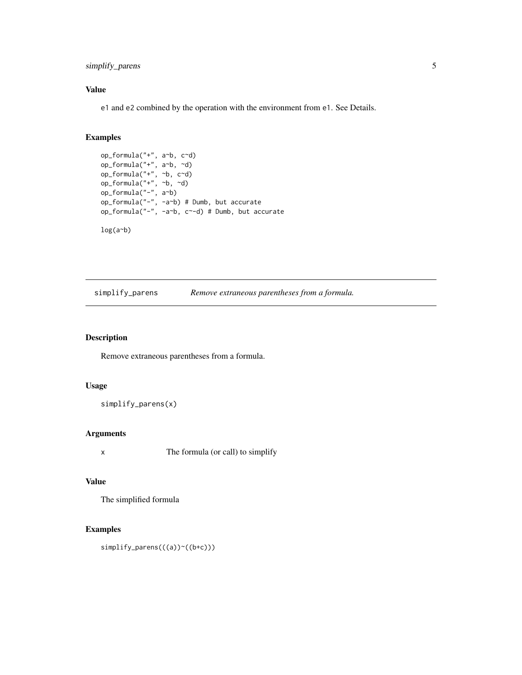<span id="page-4-0"></span>simplify\_parens 5

#### Value

e1 and e2 combined by the operation with the environment from e1. See Details.

#### Examples

```
op_formula("+", a~b, c~d)
op_formula("+", a~b, ~d)
op_formula("+", ~b, c~d)
op_formula("+", ~\sim b, ~\sim d)op_formula("-", a~b)
op_formula("-", -a~b) # Dumb, but accurate
op_formula("-", -a~b, c~-d) # Dumb, but accurate
```
log(a~b)

simplify\_parens *Remove extraneous parentheses from a formula.*

#### Description

Remove extraneous parentheses from a formula.

#### Usage

simplify\_parens(x)

#### Arguments

x The formula (or call) to simplify

#### Value

The simplified formula

#### Examples

simplify\_parens(((a))~((b+c)))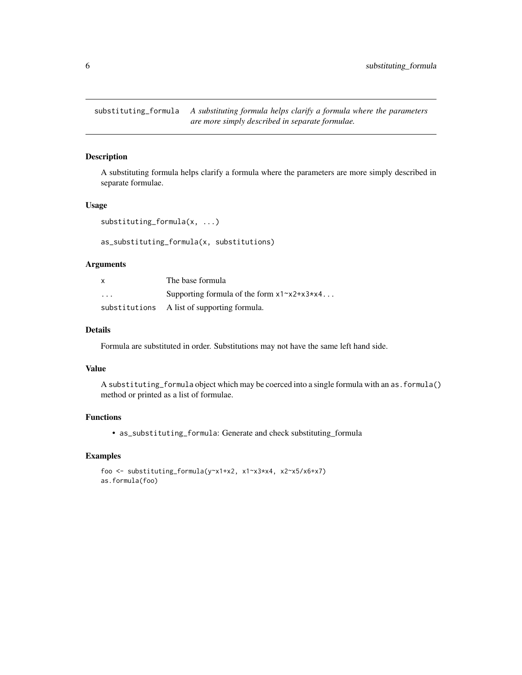<span id="page-5-0"></span>substituting\_formula *A substituting formula helps clarify a formula where the parameters are more simply described in separate formulae.*

#### Description

A substituting formula helps clarify a formula where the parameters are more simply described in separate formulae.

#### Usage

```
substituting_formula(x, ...)
```
as\_substituting\_formula(x, substitutions)

#### Arguments

| X                       | The base formula                                           |
|-------------------------|------------------------------------------------------------|
| $\cdot$ $\cdot$ $\cdot$ | Supporting formula of the form $x1 \sim x2 + x3 \times x4$ |
|                         | substitutions A list of supporting formula.                |

#### Details

Formula are substituted in order. Substitutions may not have the same left hand side.

#### Value

A substituting\_formula object which may be coerced into a single formula with an as.formula() method or printed as a list of formulae.

#### Functions

• as\_substituting\_formula: Generate and check substituting\_formula

#### Examples

```
foo <- substituting_formula(y~x1+x2, x1~x3*x4, x2~x5/x6+x7)
as.formula(foo)
```